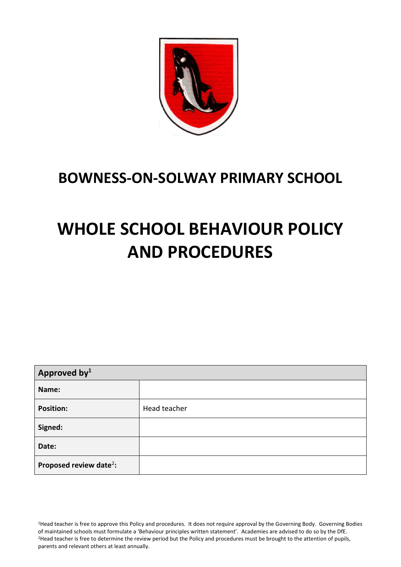

# **BOWNESS-ON-SOLWAY PRIMARY SCHOOL**

# **WHOLE SCHOOL BEHAVIOUR POLICY AND PROCEDURES**

| Approved by <sup>1</sup>            |              |  |
|-------------------------------------|--------------|--|
| Name:                               |              |  |
| <b>Position:</b>                    | Head teacher |  |
| Signed:                             |              |  |
| Date:                               |              |  |
| Proposed review date <sup>2</sup> : |              |  |

<sup>1</sup>Head teacher is free to approve this Policy and procedures. It does not require approval by the Governing Body. Governing Bodies of maintained schools must formulate a 'Behaviour principles written statement'. Academies are advised to do so by the DfE. <sup>2</sup>Head teacher is free to determine the review period but the Policy and procedures must be brought to the attention of pupils, parents and relevant others at least annually.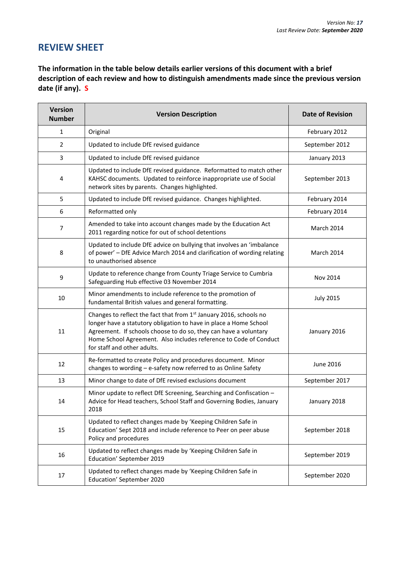## **REVIEW SHEET**

**The information in the table below details earlier versions of this document with a brief description of each review and how to distinguish amendments made since the previous version date (if any). S**

| <b>Version</b><br><b>Number</b> | <b>Version Description</b>                                                                                                                                                                                                                                                                                      | <b>Date of Revision</b> |
|---------------------------------|-----------------------------------------------------------------------------------------------------------------------------------------------------------------------------------------------------------------------------------------------------------------------------------------------------------------|-------------------------|
| $\mathbf{1}$                    | Original                                                                                                                                                                                                                                                                                                        | February 2012           |
| 2                               | Updated to include DfE revised guidance                                                                                                                                                                                                                                                                         | September 2012          |
| 3                               | Updated to include DfE revised guidance                                                                                                                                                                                                                                                                         | January 2013            |
| 4                               | Updated to include DfE revised guidance. Reformatted to match other<br>KAHSC documents. Updated to reinforce inappropriate use of Social<br>network sites by parents. Changes highlighted.                                                                                                                      | September 2013          |
| 5                               | Updated to include DfE revised guidance. Changes highlighted.                                                                                                                                                                                                                                                   | February 2014           |
| 6                               | Reformatted only                                                                                                                                                                                                                                                                                                | February 2014           |
| $\overline{7}$                  | Amended to take into account changes made by the Education Act<br>2011 regarding notice for out of school detentions                                                                                                                                                                                            | March 2014              |
| 8                               | Updated to include DfE advice on bullying that involves an 'imbalance<br>of power' - DfE Advice March 2014 and clarification of wording relating<br>to unauthorised absence                                                                                                                                     | <b>March 2014</b>       |
| 9                               | Update to reference change from County Triage Service to Cumbria<br>Safeguarding Hub effective 03 November 2014                                                                                                                                                                                                 | Nov 2014                |
| 10                              | Minor amendments to include reference to the promotion of<br>fundamental British values and general formatting.                                                                                                                                                                                                 | <b>July 2015</b>        |
| 11                              | Changes to reflect the fact that from 1st January 2016, schools no<br>longer have a statutory obligation to have in place a Home School<br>Agreement. If schools choose to do so, they can have a voluntary<br>Home School Agreement. Also includes reference to Code of Conduct<br>for staff and other adults. | January 2016            |
| 12                              | Re-formatted to create Policy and procedures document. Minor<br>changes to wording - e-safety now referred to as Online Safety                                                                                                                                                                                  | June 2016               |
| 13                              | Minor change to date of DfE revised exclusions document                                                                                                                                                                                                                                                         | September 2017          |
| 14                              | Minor update to reflect DfE Screening, Searching and Confiscation -<br>Advice for Head teachers, School Staff and Governing Bodies, January<br>2018                                                                                                                                                             | January 2018            |
| 15                              | Updated to reflect changes made by 'Keeping Children Safe in<br>Education' Sept 2018 and include reference to Peer on peer abuse<br>Policy and procedures                                                                                                                                                       | September 2018          |
| 16                              | Updated to reflect changes made by 'Keeping Children Safe in<br>Education' September 2019                                                                                                                                                                                                                       | September 2019          |
| 17                              | Updated to reflect changes made by 'Keeping Children Safe in<br>Education' September 2020                                                                                                                                                                                                                       | September 2020          |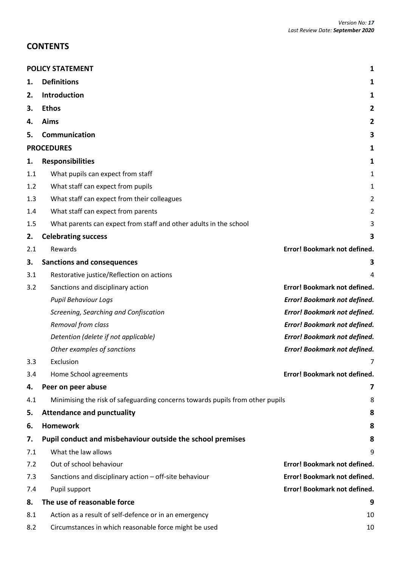## **CONTENTS**

|     | <b>POLICY STATEMENT</b><br>1                                                  |                                     |  |  |  |
|-----|-------------------------------------------------------------------------------|-------------------------------------|--|--|--|
| 1.  | <b>Definitions</b>                                                            | 1                                   |  |  |  |
| 2.  | Introduction                                                                  | 1                                   |  |  |  |
| 3.  | <b>Ethos</b>                                                                  | 2                                   |  |  |  |
| 4.  | Aims                                                                          | 2                                   |  |  |  |
| 5.  | Communication                                                                 | 3                                   |  |  |  |
|     | <b>PROCEDURES</b>                                                             | 1                                   |  |  |  |
| 1.  | <b>Responsibilities</b>                                                       | 1                                   |  |  |  |
| 1.1 | What pupils can expect from staff                                             | 1                                   |  |  |  |
| 1.2 | What staff can expect from pupils                                             | 1                                   |  |  |  |
| 1.3 | What staff can expect from their colleagues                                   | 2                                   |  |  |  |
| 1.4 | What staff can expect from parents                                            | 2                                   |  |  |  |
| 1.5 | What parents can expect from staff and other adults in the school             | 3                                   |  |  |  |
| 2.  | <b>Celebrating success</b>                                                    | 3                                   |  |  |  |
| 2.1 | Rewards                                                                       | Error! Bookmark not defined.        |  |  |  |
| 3.  | <b>Sanctions and consequences</b>                                             | 3                                   |  |  |  |
| 3.1 | Restorative justice/Reflection on actions                                     | 4                                   |  |  |  |
| 3.2 | Sanctions and disciplinary action                                             | Error! Bookmark not defined.        |  |  |  |
|     | <b>Pupil Behaviour Logs</b>                                                   | Error! Bookmark not defined.        |  |  |  |
|     | Screening, Searching and Confiscation                                         | Error! Bookmark not defined.        |  |  |  |
|     | Removal from class                                                            | Error! Bookmark not defined.        |  |  |  |
|     | Detention (delete if not applicable)                                          | Error! Bookmark not defined.        |  |  |  |
|     | Other examples of sanctions                                                   | <b>Error! Bookmark not defined.</b> |  |  |  |
| 3.3 | Exclusion                                                                     |                                     |  |  |  |
| 3.4 | Home School agreements                                                        | Error! Bookmark not defined.        |  |  |  |
| 4.  | Peer on peer abuse                                                            | 7                                   |  |  |  |
| 4.1 | Minimising the risk of safeguarding concerns towards pupils from other pupils | 8                                   |  |  |  |
| 5.  | <b>Attendance and punctuality</b>                                             | 8                                   |  |  |  |
| 6.  | <b>Homework</b>                                                               | 8                                   |  |  |  |
| 7.  | Pupil conduct and misbehaviour outside the school premises                    | 8                                   |  |  |  |
| 7.1 | What the law allows                                                           | 9                                   |  |  |  |
| 7.2 | Out of school behaviour                                                       | Error! Bookmark not defined.        |  |  |  |
| 7.3 | Sanctions and disciplinary action - off-site behaviour                        | Error! Bookmark not defined.        |  |  |  |
| 7.4 | Pupil support                                                                 | Error! Bookmark not defined.        |  |  |  |
| 8.  | The use of reasonable force                                                   | 9                                   |  |  |  |
| 8.1 | Action as a result of self-defence or in an emergency                         | 10                                  |  |  |  |
| 8.2 | Circumstances in which reasonable force might be used                         | 10                                  |  |  |  |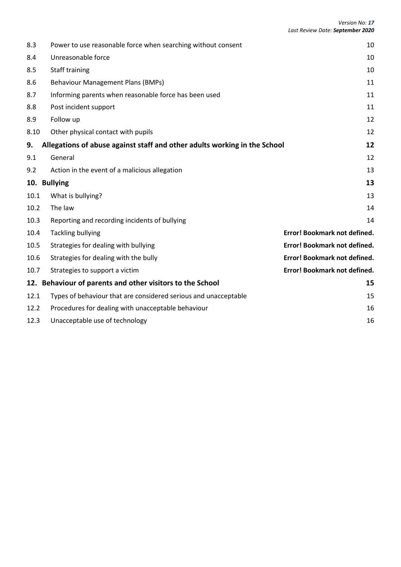| 8.3  | Power to use reasonable force when searching without consent              | 10                           |
|------|---------------------------------------------------------------------------|------------------------------|
| 8.4  | Unreasonable force                                                        | 10                           |
| 8.5  | Staff training                                                            | 10                           |
| 8.6  | <b>Behaviour Management Plans (BMPs)</b>                                  | 11                           |
| 8.7  | Informing parents when reasonable force has been used                     | 11                           |
| 8.8  | Post incident support                                                     | 11                           |
| 8.9  | Follow up                                                                 | 12                           |
| 8.10 | Other physical contact with pupils                                        | 12                           |
| 9.   | Allegations of abuse against staff and other adults working in the School | 12                           |
| 9.1  | General                                                                   | 12                           |
| 9.2  | Action in the event of a malicious allegation                             | 13                           |
| 10.  | <b>Bullying</b>                                                           | 13                           |
| 10.1 | What is bullying?                                                         | 13                           |
| 10.2 | The law                                                                   | 14                           |
| 10.3 | Reporting and recording incidents of bullying                             | 14                           |
| 10.4 | <b>Tackling bullying</b>                                                  | Error! Bookmark not defined. |
| 10.5 | Strategies for dealing with bullying                                      | Error! Bookmark not defined. |
| 10.6 | Strategies for dealing with the bully                                     | Error! Bookmark not defined. |
| 10.7 | Strategies to support a victim                                            | Error! Bookmark not defined. |
| 12.  | Behaviour of parents and other visitors to the School                     | 15                           |
| 12.1 | Types of behaviour that are considered serious and unacceptable           | 15                           |
| 12.2 | Procedures for dealing with unacceptable behaviour                        | 16                           |
| 12.3 | Unacceptable use of technology                                            | 16                           |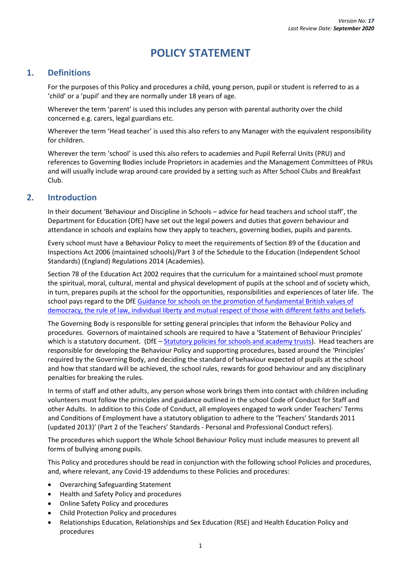# **POLICY STATEMENT**

## <span id="page-4-1"></span><span id="page-4-0"></span>**1. Definitions**

For the purposes of this Policy and procedures a child, young person, pupil or student is referred to as a 'child' or a 'pupil' and they are normally under 18 years of age.

Wherever the term 'parent' is used this includes any person with parental authority over the child concerned e.g. carers, legal guardians etc.

Wherever the term 'Head teacher' is used this also refers to any Manager with the equivalent responsibility for children.

Wherever the term 'school' is used this also refers to academies and Pupil Referral Units (PRU) and references to Governing Bodies include Proprietors in academies and the Management Committees of PRUs and will usually include wrap around care provided by a setting such as After School Clubs and Breakfast Club.

## <span id="page-4-2"></span>**2. Introduction**

In their document 'Behaviour and Discipline in Schools – advice for head teachers and school staff', the Department for Education (DfE) have set out the legal powers and duties that govern behaviour and attendance in schools and explains how they apply to teachers, governing bodies, pupils and parents.

Every school must have a Behaviour Policy to meet the requirements of Section 89 of the Education and Inspections Act 2006 (maintained schools)/Part 3 of the Schedule to the Education (Independent School Standards) (England) Regulations 2014 (Academies).

Section 78 of the Education Act 2002 requires that the curriculum for a maintained school must promote the spiritual, moral, cultural, mental and physical development of pupils at the school and of society which, in turn, prepares pupils at the school for the opportunities, responsibilities and experiences of later life. The school pays regard to the DfE Guidance for schools on the promotion of fundamental British values of [democracy, the rule of law, individual liberty and mutual respect of those with different faiths and beliefs.](https://www.gov.uk/government/publications/promoting-fundamental-british-values-through-smsc)

The Governing Body is responsible for setting general principles that inform the Behaviour Policy and procedures. Governors of maintained schools are required to have a 'Statement of Behaviour Principles' which is a statutory document. (DfE – [Statutory policies for schools and academy trusts\)](https://www.gov.uk/government/publications/statutory-policies-for-schools-and-academy-trusts). Head teachers are responsible for developing the Behaviour Policy and supporting procedures, based around the 'Principles' required by the Governing Body, and deciding the standard of behaviour expected of pupils at the school and how that standard will be achieved, the school rules, rewards for good behaviour and any disciplinary penalties for breaking the rules.

In terms of staff and other adults, any person whose work brings them into contact with children including volunteers must follow the principles and guidance outlined in the school Code of Conduct for Staff and other Adults. In addition to this Code of Conduct, all employees engaged to work under Teachers' Terms and Conditions of Employment have a statutory obligation to adhere to the 'Teachers' Standards 2011 (updated 2013)' (Part 2 of the Teachers' Standards - Personal and Professional Conduct refers).

The procedures which support the Whole School Behaviour Policy must include measures to prevent all forms of bullying among pupils.

This Policy and procedures should be read in conjunction with the following school Policies and procedures, and, where relevant, any Covid-19 addendums to these Policies and procedures:

- Overarching Safeguarding Statement
- Health and Safety Policy and procedures
- Online Safety Policy and procedures
- Child Protection Policy and procedures
- Relationships Education, Relationships and Sex Education (RSE) and Health Education Policy and procedures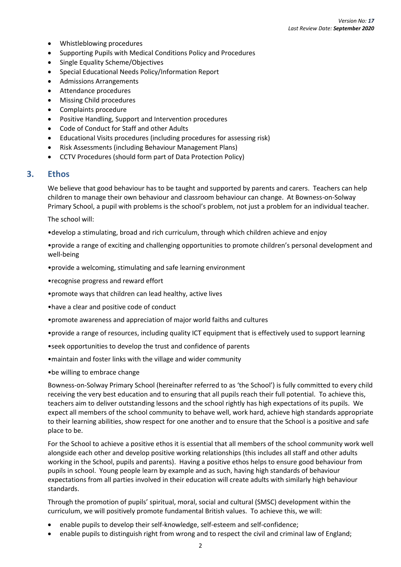- Whistleblowing procedures
- Supporting Pupils with Medical Conditions Policy and Procedures
- Single Equality Scheme/Objectives
- Special Educational Needs Policy/Information Report
- Admissions Arrangements
- Attendance procedures
- Missing Child procedures
- Complaints procedure
- Positive Handling, Support and Intervention procedures
- Code of Conduct for Staff and other Adults
- Educational Visits procedures (including procedures for assessing risk)
- Risk Assessments (including Behaviour Management Plans)
- CCTV Procedures (should form part of Data Protection Policy)

## <span id="page-5-1"></span><span id="page-5-0"></span>**3. Ethos**

We believe that good behaviour has to be taught and supported by parents and carers. Teachers can help children to manage their own behaviour and classroom behaviour can change. At Bowness-on-Solway Primary School, a pupil with problems is the school's problem, not just a problem for an individual teacher.

The school will:

•develop a stimulating, broad and rich curriculum, through which children achieve and enjoy

•provide a range of exciting and challenging opportunities to promote children's personal development and well-being

•provide a welcoming, stimulating and safe learning environment

•recognise progress and reward effort

- •promote ways that children can lead healthy, active lives
- •have a clear and positive code of conduct
- •promote awareness and appreciation of major world faiths and cultures
- •provide a range of resources, including quality ICT equipment that is effectively used to support learning
- •seek opportunities to develop the trust and confidence of parents
- •maintain and foster links with the village and wider community

•be willing to embrace change

Bowness-on-Solway Primary School (hereinafter referred to as 'the School') is fully committed to every child receiving the very best education and to ensuring that all pupils reach their full potential. To achieve this, teachers aim to deliver outstanding lessons and the school rightly has high expectations of its pupils. We expect all members of the school community to behave well, work hard, achieve high standards appropriate to their learning abilities, show respect for one another and to ensure that the School is a positive and safe place to be.

For the School to achieve a positive ethos it is essential that all members of the school community work well alongside each other and develop positive working relationships (this includes all staff and other adults working in the School, pupils and parents). Having a positive ethos helps to ensure good behaviour from pupils in school. Young people learn by example and as such, having high standards of behaviour expectations from all parties involved in their education will create adults with similarly high behaviour standards.

Through the promotion of pupils' spiritual, moral, social and cultural (SMSC) development within the curriculum, we will positively promote fundamental British values. To achieve this, we will:

- enable pupils to develop their self-knowledge, self-esteem and self-confidence;
- enable pupils to distinguish right from wrong and to respect the civil and criminal law of England;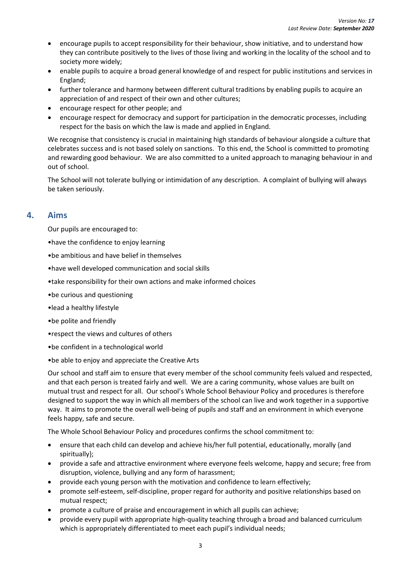- encourage pupils to accept responsibility for their behaviour, show initiative, and to understand how they can contribute positively to the lives of those living and working in the locality of the school and to society more widely;
- enable pupils to acquire a broad general knowledge of and respect for public institutions and services in England;
- further tolerance and harmony between different cultural traditions by enabling pupils to acquire an appreciation of and respect of their own and other cultures;
- encourage respect for other people; and
- encourage respect for democracy and support for participation in the democratic processes, including respect for the basis on which the law is made and applied in England.

We recognise that consistency is crucial in maintaining high standards of behaviour alongside a culture that celebrates success and is not based solely on sanctions. To this end, the School is committed to promoting and rewarding good behaviour. We are also committed to a united approach to managing behaviour in and out of school.

The School will not tolerate bullying or intimidation of any description. A complaint of bullying will always be taken seriously.

## <span id="page-6-0"></span>**4. Aims**

Our pupils are encouraged to:

- •have the confidence to enjoy learning
- •be ambitious and have belief in themselves
- •have well developed communication and social skills
- •take responsibility for their own actions and make informed choices
- •be curious and questioning
- •lead a healthy lifestyle
- •be polite and friendly
- •respect the views and cultures of others
- •be confident in a technological world
- •be able to enjoy and appreciate the Creative Arts

Our school and staff aim to ensure that every member of the school community feels valued and respected, and that each person is treated fairly and well. We are a caring community, whose values are built on mutual trust and respect for all. Our school's Whole School Behaviour Policy and procedures is therefore designed to support the way in which all members of the school can live and work together in a supportive way. It aims to promote the overall well-being of pupils and staff and an environment in which everyone feels happy, safe and secure.

The Whole School Behaviour Policy and procedures confirms the school commitment to:

- ensure that each child can develop and achieve his/her full potential, educationally, morally {and spiritually};
- provide a safe and attractive environment where everyone feels welcome, happy and secure; free from disruption, violence, bullying and any form of harassment;
- provide each young person with the motivation and confidence to learn effectively;
- promote self-esteem, self-discipline, proper regard for authority and positive relationships based on mutual respect;
- promote a culture of praise and encouragement in which all pupils can achieve;
- provide every pupil with appropriate high-quality teaching through a broad and balanced curriculum which is appropriately differentiated to meet each pupil's individual needs;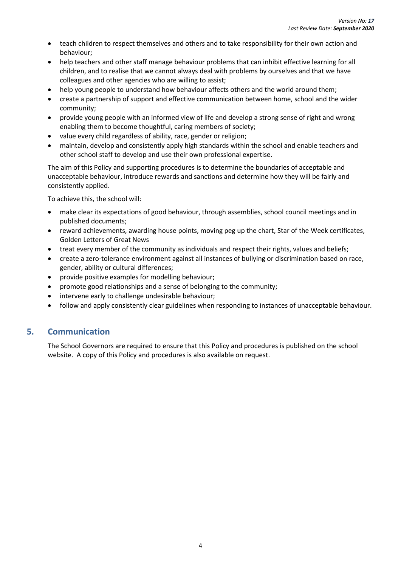- teach children to respect themselves and others and to take responsibility for their own action and behaviour;
- help teachers and other staff manage behaviour problems that can inhibit effective learning for all children, and to realise that we cannot always deal with problems by ourselves and that we have colleagues and other agencies who are willing to assist;
- help young people to understand how behaviour affects others and the world around them;
- create a partnership of support and effective communication between home, school and the wider community;
- provide young people with an informed view of life and develop a strong sense of right and wrong enabling them to become thoughtful, caring members of society;
- value every child regardless of ability, race, gender or religion;
- maintain, develop and consistently apply high standards within the school and enable teachers and other school staff to develop and use their own professional expertise.

The aim of this Policy and supporting procedures is to determine the boundaries of acceptable and unacceptable behaviour, introduce rewards and sanctions and determine how they will be fairly and consistently applied.

To achieve this, the school will:

- make clear its expectations of good behaviour, through assemblies, school council meetings and in published documents;
- reward achievements, awarding house points, moving peg up the chart, Star of the Week certificates, Golden Letters of Great News
- treat every member of the community as individuals and respect their rights, values and beliefs;
- create a zero-tolerance environment against all instances of bullying or discrimination based on race, gender, ability or cultural differences;
- provide positive examples for modelling behaviour;
- promote good relationships and a sense of belonging to the community;
- intervene early to challenge undesirable behaviour;
- follow and apply consistently clear guidelines when responding to instances of unacceptable behaviour.

## **5. Communication**

The School Governors are required to ensure that this Policy and procedures is published on the school website. A copy of this Policy and procedures is also available on request.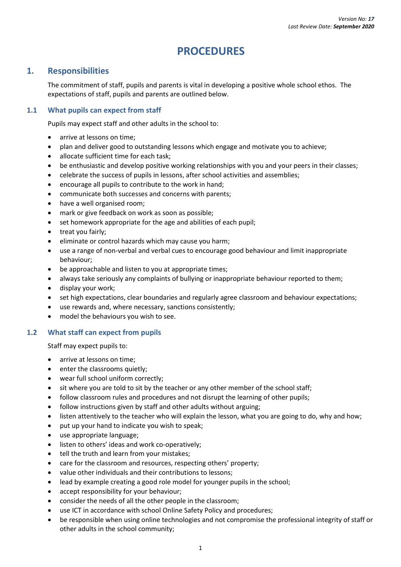# **PROCEDURES**

## <span id="page-8-1"></span><span id="page-8-0"></span>**1. Responsibilities**

The commitment of staff, pupils and parents is vital in developing a positive whole school ethos. The expectations of staff, pupils and parents are outlined below.

## <span id="page-8-2"></span>**1.1 What pupils can expect from staff**

Pupils may expect staff and other adults in the school to:

- arrive at lessons on time:
- plan and deliver good to outstanding lessons which engage and motivate you to achieve;
- allocate sufficient time for each task;
- be enthusiastic and develop positive working relationships with you and your peers in their classes;
- celebrate the success of pupils in lessons, after school activities and assemblies;
- encourage all pupils to contribute to the work in hand;
- communicate both successes and concerns with parents;
- have a well organised room;
- mark or give feedback on work as soon as possible;
- set homework appropriate for the age and abilities of each pupil;
- treat you fairly;
- eliminate or control hazards which may cause you harm;
- use a range of non-verbal and verbal cues to encourage good behaviour and limit inappropriate behaviour;
- be approachable and listen to you at appropriate times;
- always take seriously any complaints of bullying or inappropriate behaviour reported to them;
- display your work;
- set high expectations, clear boundaries and regularly agree classroom and behaviour expectations;
- use rewards and, where necessary, sanctions consistently;
- model the behaviours you wish to see.

## <span id="page-8-3"></span>**1.2 What staff can expect from pupils**

Staff may expect pupils to:

- arrive at lessons on time;
- enter the classrooms quietly:
- wear full school uniform correctly;
- sit where you are told to sit by the teacher or any other member of the school staff;
- follow classroom rules and procedures and not disrupt the learning of other pupils;
- follow instructions given by staff and other adults without arguing;
- listen attentively to the teacher who will explain the lesson, what you are going to do, why and how;
- put up your hand to indicate you wish to speak;
- use appropriate language;
- listen to others' ideas and work co-operatively;
- tell the truth and learn from your mistakes;
- care for the classroom and resources, respecting others' property;
- value other individuals and their contributions to lessons;
- lead by example creating a good role model for younger pupils in the school;
- accept responsibility for your behaviour:
- consider the needs of all the other people in the classroom;
- use ICT in accordance with school Online Safety Policy and procedures;
- be responsible when using online technologies and not compromise the professional integrity of staff or other adults in the school community;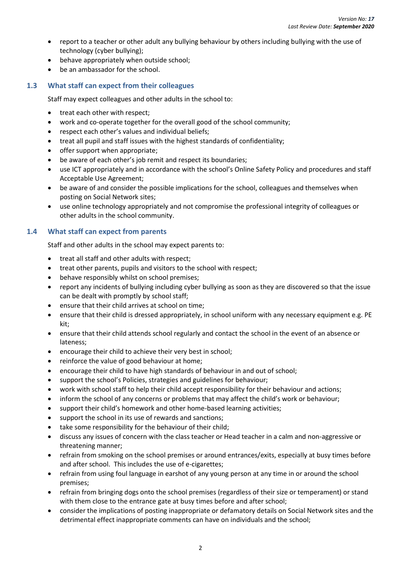- report to a teacher or other adult any bullying behaviour by others including bullying with the use of technology (cyber bullying);
- behave appropriately when outside school;
- be an ambassador for the school.

## <span id="page-9-0"></span>**1.3 What staff can expect from their colleagues**

Staff may expect colleagues and other adults in the school to:

- treat each other with respect;
- work and co-operate together for the overall good of the school community;
- respect each other's values and individual beliefs;
- treat all pupil and staff issues with the highest standards of confidentiality;
- offer support when appropriate;
- be aware of each other's job remit and respect its boundaries;
- use ICT appropriately and in accordance with the school's Online Safety Policy and procedures and staff Acceptable Use Agreement;
- be aware of and consider the possible implications for the school, colleagues and themselves when posting on Social Network sites;
- use online technology appropriately and not compromise the professional integrity of colleagues or other adults in the school community.

## <span id="page-9-1"></span>**1.4 What staff can expect from parents**

Staff and other adults in the school may expect parents to:

- treat all staff and other adults with respect;
- treat other parents, pupils and visitors to the school with respect;
- behave responsibly whilst on school premises;
- report any incidents of bullying including cyber bullying as soon as they are discovered so that the issue can be dealt with promptly by school staff;
- ensure that their child arrives at school on time;
- ensure that their child is dressed appropriately, in school uniform with any necessary equipment e.g. PE kit;
- ensure that their child attends school regularly and contact the school in the event of an absence or lateness;
- encourage their child to achieve their very best in school:
- reinforce the value of good behaviour at home;
- encourage their child to have high standards of behaviour in and out of school;
- support the school's Policies, strategies and guidelines for behaviour;
- work with school staff to help their child accept responsibility for their behaviour and actions;
- inform the school of any concerns or problems that may affect the child's work or behaviour;
- support their child's homework and other home-based learning activities;
- support the school in its use of rewards and sanctions:
- take some responsibility for the behaviour of their child;
- discuss any issues of concern with the class teacher or Head teacher in a calm and non-aggressive or threatening manner;
- refrain from smoking on the school premises or around entrances/exits, especially at busy times before and after school. This includes the use of e-cigarettes;
- refrain from using foul language in earshot of any young person at any time in or around the school premises;
- refrain from bringing dogs onto the school premises (regardless of their size or temperament) or stand with them close to the entrance gate at busy times before and after school;
- consider the implications of posting inappropriate or defamatory details on Social Network sites and the detrimental effect inappropriate comments can have on individuals and the school;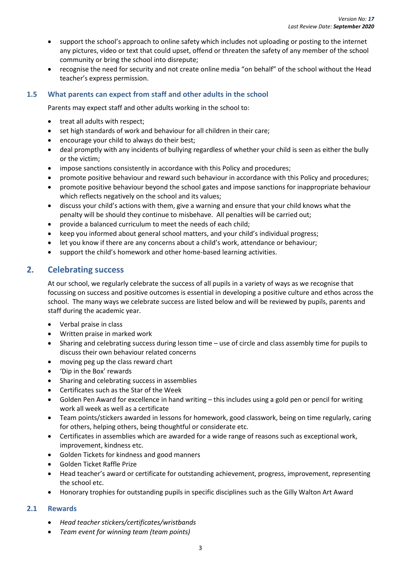- support the school's approach to online safety which includes not uploading or posting to the internet any pictures, video or text that could upset, offend or threaten the safety of any member of the school community or bring the school into disrepute;
- recognise the need for security and not create online media "on behalf" of the school without the Head teacher's express permission.

## <span id="page-10-0"></span>**1.5 What parents can expect from staff and other adults in the school**

Parents may expect staff and other adults working in the school to:

- treat all adults with respect;
- set high standards of work and behaviour for all children in their care;
- encourage your child to always do their best;
- deal promptly with any incidents of bullying regardless of whether your child is seen as either the bully or the victim;
- impose sanctions consistently in accordance with this Policy and procedures;
- promote positive behaviour and reward such behaviour in accordance with this Policy and procedures;
- promote positive behaviour beyond the school gates and impose sanctions for inappropriate behaviour which reflects negatively on the school and its values;
- discuss your child's actions with them, give a warning and ensure that your child knows what the penalty will be should they continue to misbehave. All penalties will be carried out;
- provide a balanced curriculum to meet the needs of each child;
- keep you informed about general school matters, and your child's individual progress;
- let you know if there are any concerns about a child's work, attendance or behaviour;
- support the child's homework and other home-based learning activities.

## <span id="page-10-2"></span><span id="page-10-1"></span>**2. Celebrating success**

At our school, we regularly celebrate the success of all pupils in a variety of ways as we recognise that focussing on success and positive outcomes is essential in developing a positive culture and ethos across the school. The many ways we celebrate success are listed below and will be reviewed by pupils, parents and staff during the academic year.

- Verbal praise in class
- Written praise in marked work
- Sharing and celebrating success during lesson time use of circle and class assembly time for pupils to discuss their own behaviour related concerns
- moving peg up the class reward chart
- 'Dip in the Box' rewards
- Sharing and celebrating success in assemblies
- Certificates such as the Star of the Week
- Golden Pen Award for excellence in hand writing this includes using a gold pen or pencil for writing work all week as well as a certificate
- Team points/stickers awarded in lessons for homework, good classwork, being on time regularly, caring for others, helping others, being thoughtful or considerate etc.
- Certificates in assemblies which are awarded for a wide range of reasons such as exceptional work, improvement, kindness etc.
- Golden Tickets for kindness and good manners
- Golden Ticket Raffle Prize
- Head teacher's award or certificate for outstanding achievement, progress, improvement, representing the school etc.
- Honorary trophies for outstanding pupils in specific disciplines such as the Gilly Walton Art Award

## **2.1 Rewards**

- *Head teacher stickers/certificates/wristbands*
- *Team event for winning team (team points)*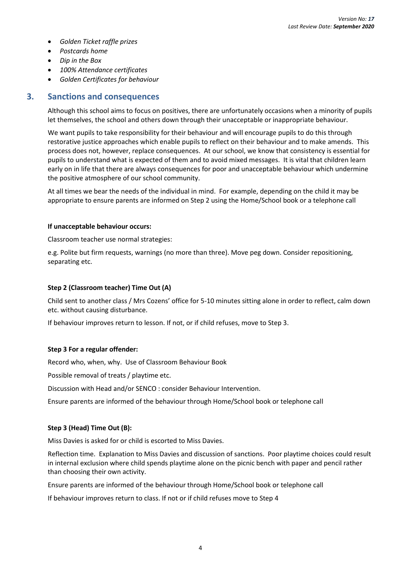- *Golden Ticket raffle prizes*
- *Postcards home*
- *Dip in the Box*
- *100% Attendance certificates*
- *Golden Certificates for behaviour*

## <span id="page-11-0"></span>**3. Sanctions and consequences**

Although this school aims to focus on positives, there are unfortunately occasions when a minority of pupils let themselves, the school and others down through their unacceptable or inappropriate behaviour.

We want pupils to take responsibility for their behaviour and will encourage pupils to do this through restorative justice approaches which enable pupils to reflect on their behaviour and to make amends. This process does not, however, replace consequences. At our school, we know that consistency is essential for pupils to understand what is expected of them and to avoid mixed messages. It is vital that children learn early on in life that there are always consequences for poor and unacceptable behaviour which undermine the positive atmosphere of our school community.

At all times we bear the needs of the individual in mind. For example, depending on the child it may be appropriate to ensure parents are informed on Step 2 using the Home/School book or a telephone call

#### **If unacceptable behaviour occurs:**

Classroom teacher use normal strategies:

e.g. Polite but firm requests, warnings (no more than three). Move peg down. Consider repositioning, separating etc.

## **Step 2 (Classroom teacher) Time Out (A)**

Child sent to another class / Mrs Cozens' office for 5-10 minutes sitting alone in order to reflect, calm down etc. without causing disturbance.

If behaviour improves return to lesson. If not, or if child refuses, move to Step 3.

## **Step 3 For a regular offender:**

Record who, when, why. Use of Classroom Behaviour Book

Possible removal of treats / playtime etc.

Discussion with Head and/or SENCO : consider Behaviour Intervention.

Ensure parents are informed of the behaviour through Home/School book or telephone call

## **Step 3 (Head) Time Out (B):**

Miss Davies is asked for or child is escorted to Miss Davies.

Reflection time. Explanation to Miss Davies and discussion of sanctions. Poor playtime choices could result in internal exclusion where child spends playtime alone on the picnic bench with paper and pencil rather than choosing their own activity.

Ensure parents are informed of the behaviour through Home/School book or telephone call

If behaviour improves return to class. If not or if child refuses move to Step 4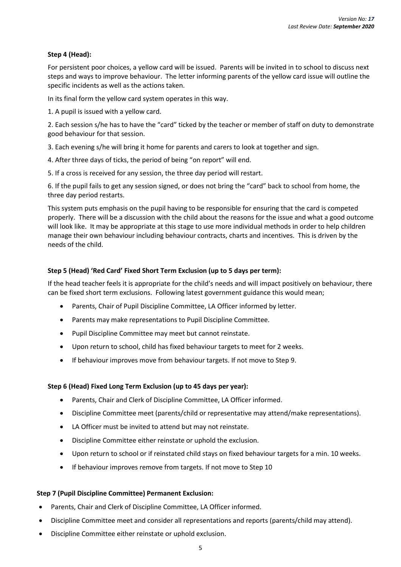## **Step 4 (Head):**

For persistent poor choices, a yellow card will be issued. Parents will be invited in to school to discuss next steps and ways to improve behaviour. The letter informing parents of the yellow card issue will outline the specific incidents as well as the actions taken.

In its final form the yellow card system operates in this way.

1. A pupil is issued with a yellow card.

2. Each session s/he has to have the "card" ticked by the teacher or member of staff on duty to demonstrate good behaviour for that session.

3. Each evening s/he will bring it home for parents and carers to look at together and sign.

4. After three days of ticks, the period of being "on report" will end.

5. If a cross is received for any session, the three day period will restart.

6. If the pupil fails to get any session signed, or does not bring the "card" back to school from home, the three day period restarts.

This system puts emphasis on the pupil having to be responsible for ensuring that the card is competed properly. There will be a discussion with the child about the reasons for the issue and what a good outcome will look like. It may be appropriate at this stage to use more individual methods in order to help children manage their own behaviour including behaviour contracts, charts and incentives. This is driven by the needs of the child.

#### **Step 5 (Head) 'Red Card' Fixed Short Term Exclusion (up to 5 days per term):**

If the head teacher feels it is appropriate for the child's needs and will impact positively on behaviour, there can be fixed short term exclusions. Following latest government guidance this would mean;

- Parents, Chair of Pupil Discipline Committee, LA Officer informed by letter.
- Parents may make representations to Pupil Discipline Committee.
- Pupil Discipline Committee may meet but cannot reinstate.
- Upon return to school, child has fixed behaviour targets to meet for 2 weeks.
- If behaviour improves move from behaviour targets. If not move to Step 9.

#### **Step 6 (Head) Fixed Long Term Exclusion (up to 45 days per year):**

- Parents, Chair and Clerk of Discipline Committee, LA Officer informed.
- Discipline Committee meet (parents/child or representative may attend/make representations).
- LA Officer must be invited to attend but may not reinstate.
- Discipline Committee either reinstate or uphold the exclusion.
- Upon return to school or if reinstated child stays on fixed behaviour targets for a min. 10 weeks.
- If behaviour improves remove from targets. If not move to Step 10

#### **Step 7 (Pupil Discipline Committee) Permanent Exclusion:**

- Parents, Chair and Clerk of Discipline Committee, LA Officer informed.
- Discipline Committee meet and consider all representations and reports (parents/child may attend).
- Discipline Committee either reinstate or uphold exclusion.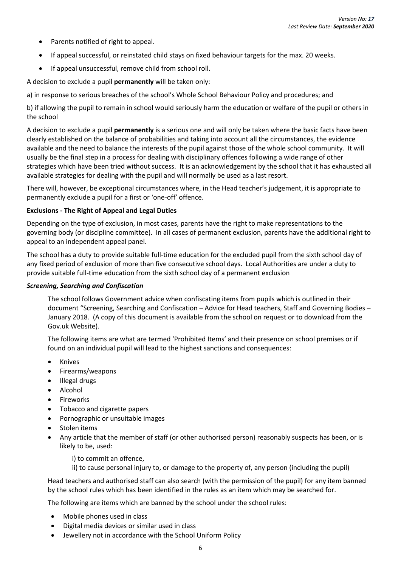- Parents notified of right to appeal.
- If appeal successful, or reinstated child stays on fixed behaviour targets for the max. 20 weeks.
- If appeal unsuccessful, remove child from school roll.

A decision to exclude a pupil **permanently** will be taken only:

a) in response to serious breaches of the school's Whole School Behaviour Policy and procedures; and

b) if allowing the pupil to remain in school would seriously harm the education or welfare of the pupil or others in the school

A decision to exclude a pupil **permanently** is a serious one and will only be taken where the basic facts have been clearly established on the balance of probabilities and taking into account all the circumstances, the evidence available and the need to balance the interests of the pupil against those of the whole school community. It will usually be the final step in a process for dealing with disciplinary offences following a wide range of other strategies which have been tried without success. It is an acknowledgement by the school that it has exhausted all available strategies for dealing with the pupil and will normally be used as a last resort.

There will, however, be exceptional circumstances where, in the Head teacher's judgement, it is appropriate to permanently exclude a pupil for a first or 'one-off' offence.

## **Exclusions - The Right of Appeal and Legal Duties**

Depending on the type of exclusion, in most cases, parents have the right to make representations to the governing body (or discipline committee). In all cases of permanent exclusion, parents have the additional right to appeal to an independent appeal panel.

The school has a duty to provide suitable full-time education for the excluded pupil from the sixth school day of any fixed period of exclusion of more than five consecutive school days. Local Authorities are under a duty to provide suitable full-time education from the sixth school day of a permanent exclusion

#### *Screening, Searching and Confiscation*

The school follows Government advice when confiscating items from pupils which is outlined in their document "Screening, Searching and Confiscation – Advice for Head teachers, Staff and Governing Bodies – January 2018. (A copy of this document is available from the school on request or to download from the Gov.uk Website).

The following items are what are termed 'Prohibited Items' and their presence on school premises or if found on an individual pupil will lead to the highest sanctions and consequences:

- Knives
- Firearms/weapons
- Illegal drugs
- Alcohol
- **Fireworks**
- Tobacco and cigarette papers
- Pornographic or unsuitable images
- Stolen items
- Any article that the member of staff (or other authorised person) reasonably suspects has been, or is likely to be, used:

i) to commit an offence,

ii) to cause personal injury to, or damage to the property of, any person (including the pupil)

Head teachers and authorised staff can also search (with the permission of the pupil) for any item banned by the school rules which has been identified in the rules as an item which may be searched for.

The following are items which are banned by the school under the school rules:

- Mobile phones used in class
- Digital media devices or similar used in class
- Jewellery not in accordance with the School Uniform Policy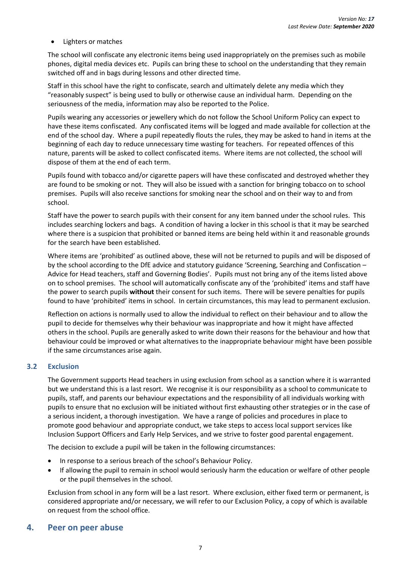• Lighters or matches

The school will confiscate any electronic items being used inappropriately on the premises such as mobile phones, digital media devices etc. Pupils can bring these to school on the understanding that they remain switched off and in bags during lessons and other directed time.

Staff in this school have the right to confiscate, search and ultimately delete any media which they "reasonably suspect" is being used to bully or otherwise cause an individual harm. Depending on the seriousness of the media, information may also be reported to the Police.

Pupils wearing any accessories or jewellery which do not follow the School Uniform Policy can expect to have these items confiscated. Any confiscated items will be logged and made available for collection at the end of the school day. Where a pupil repeatedly flouts the rules, they may be asked to hand in items at the beginning of each day to reduce unnecessary time wasting for teachers. For repeated offences of this nature, parents will be asked to collect confiscated items. Where items are not collected, the school will dispose of them at the end of each term.

Pupils found with tobacco and/or cigarette papers will have these confiscated and destroyed whether they are found to be smoking or not. They will also be issued with a sanction for bringing tobacco on to school premises. Pupils will also receive sanctions for smoking near the school and on their way to and from school.

Staff have the power to search pupils with their consent for any item banned under the school rules. This includes searching lockers and bags. A condition of having a locker in this school is that it may be searched where there is a suspicion that prohibited or banned items are being held within it and reasonable grounds for the search have been established.

Where items are 'prohibited' as outlined above, these will not be returned to pupils and will be disposed of by the school according to the DfE advice and statutory guidance 'Screening, Searching and Confiscation – Advice for Head teachers, staff and Governing Bodies'. Pupils must not bring any of the items listed above on to school premises. The school will automatically confiscate any of the 'prohibited' items and staff have the power to search pupils **without** their consent for such items. There will be severe penalties for pupils found to have 'prohibited' items in school. In certain circumstances, this may lead to permanent exclusion.

Reflection on actions is normally used to allow the individual to reflect on their behaviour and to allow the pupil to decide for themselves why their behaviour was inappropriate and how it might have affected others in the school. Pupils are generally asked to write down their reasons for the behaviour and how that behaviour could be improved or what alternatives to the inappropriate behaviour might have been possible if the same circumstances arise again.

## <span id="page-14-0"></span>**3.2 Exclusion**

The Government supports Head teachers in using exclusion from school as a sanction where it is warranted but we understand this is a last resort. We recognise it is our responsibility as a school to communicate to pupils, staff, and parents our behaviour expectations and the responsibility of all individuals working with pupils to ensure that no exclusion will be initiated without first exhausting other strategies or in the case of a serious incident, a thorough investigation. We have a range of policies and procedures in place to promote good behaviour and appropriate conduct, we take steps to access local support services like Inclusion Support Officers and Early Help Services, and we strive to foster good parental engagement.

The decision to exclude a pupil will be taken in the following circumstances:

- In response to a serious breach of the school's Behaviour Policy.
- If allowing the pupil to remain in school would seriously harm the education or welfare of other people or the pupil themselves in the school.

Exclusion from school in any form will be a last resort. Where exclusion, either fixed term or permanent, is considered appropriate and/or necessary, we will refer to our Exclusion Policy, a copy of which is available on request from the school office.

## <span id="page-14-1"></span>**4. Peer on peer abuse**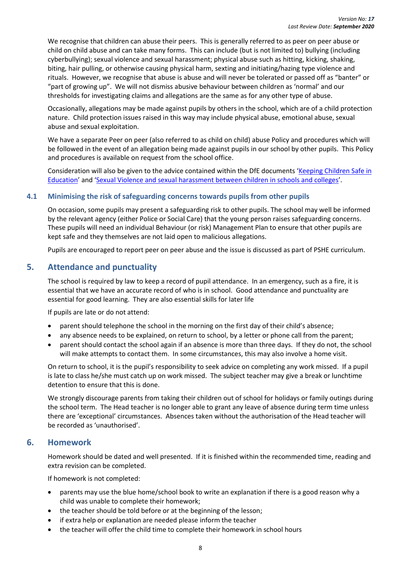We recognise that children can abuse their peers. This is generally referred to as peer on peer abuse or child on child abuse and can take many forms. This can include (but is not limited to) bullying (including cyberbullying); sexual violence and sexual harassment; physical abuse such as hitting, kicking, shaking, biting, hair pulling, or otherwise causing physical harm, sexting and initiating/hazing type violence and rituals. However, we recognise that abuse is abuse and will never be tolerated or passed off as "banter" or "part of growing up". We will not dismiss abusive behaviour between children as 'normal' and our thresholds for investigating claims and allegations are the same as for any other type of abuse.

Occasionally, allegations may be made against pupils by others in the school, which are of a child protection nature. Child protection issues raised in this way may include physical abuse, emotional abuse, sexual abuse and sexual exploitation.

We have a separate Peer on peer (also referred to as child on child) abuse Policy and procedures which will be followed in the event of an allegation being made against pupils in our school by other pupils. This Policy and procedures is available on request from the school office.

Consideration will also be given to the advice contained within the DfE documents '[Keeping Children Safe in](https://www.gov.uk/government/publications/keeping-children-safe-in-education--2)  [Education](https://www.gov.uk/government/publications/keeping-children-safe-in-education--2)' and '[Sexual Violence and sexual harassment between children in schools and colleges](https://www.gov.uk/government/publications/sexual-violence-and-sexual-harassment-between-children-in-schools-and-colleges)'.

## <span id="page-15-0"></span>**4.1 Minimising the risk of safeguarding concerns towards pupils from other pupils**

On occasion, some pupils may present a safeguarding risk to other pupils. The school may well be informed by the relevant agency (either Police or Social Care) that the young person raises safeguarding concerns. These pupils will need an individual Behaviour (or risk) Management Plan to ensure that other pupils are kept safe and they themselves are not laid open to malicious allegations.

Pupils are encouraged to report peer on peer abuse and the issue is discussed as part of PSHE curriculum.

## <span id="page-15-1"></span>**5. Attendance and punctuality**

The school is required by law to keep a record of pupil attendance. In an emergency, such as a fire, it is essential that we have an accurate record of who is in school. Good attendance and punctuality are essential for good learning. They are also essential skills for later life

If pupils are late or do not attend:

- parent should telephone the school in the morning on the first day of their child's absence;
- any absence needs to be explained, on return to school, by a letter or phone call from the parent;
- parent should contact the school again if an absence is more than three days. If they do not, the school will make attempts to contact them. In some circumstances, this may also involve a home visit.

On return to school, it is the pupil's responsibility to seek advice on completing any work missed. If a pupil is late to class he/she must catch up on work missed. The subject teacher may give a break or lunchtime detention to ensure that this is done.

We strongly discourage parents from taking their children out of school for holidays or family outings during the school term. The Head teacher is no longer able to grant any leave of absence during term time unless there are 'exceptional' circumstances. Absences taken without the authorisation of the Head teacher will be recorded as 'unauthorised'.

## <span id="page-15-3"></span><span id="page-15-2"></span>**6. Homework**

Homework should be dated and well presented. If it is finished within the recommended time, reading and extra revision can be completed.

If homework is not completed:

- parents may use the blue home/school book to write an explanation if there is a good reason why a child was unable to complete their homework;
- the teacher should be told before or at the beginning of the lesson;
- if extra help or explanation are needed please inform the teacher
- the teacher will offer the child time to complete their homework in school hours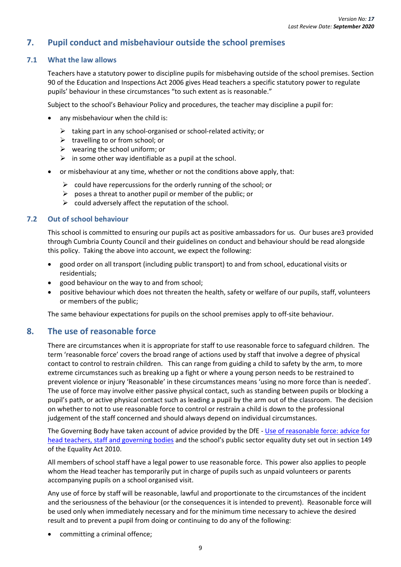## **7. Pupil conduct and misbehaviour outside the school premises**

## <span id="page-16-1"></span><span id="page-16-0"></span>**7.1 What the law allows**

Teachers have a statutory power to discipline pupils for misbehaving outside of the school premises. Section 90 of the Education and Inspections Act 2006 gives Head teachers a specific statutory power to regulate pupils' behaviour in these circumstances "to such extent as is reasonable."

Subject to the school's Behaviour Policy and procedures, the teacher may discipline a pupil for:

- any misbehaviour when the child is:
	- ➢ taking part in any school-organised or school-related activity; or
	- $\triangleright$  travelling to or from school; or
	- $\triangleright$  wearing the school uniform; or
	- $\triangleright$  in some other way identifiable as a pupil at the school.
- or misbehaviour at any time, whether or not the conditions above apply, that:
	- $\triangleright$  could have repercussions for the orderly running of the school; or
	- $\triangleright$  poses a threat to another pupil or member of the public; or
	- $\triangleright$  could adversely affect the reputation of the school.

## **7.2 Out of school behaviour**

This school is committed to ensuring our pupils act as positive ambassadors for us. Our buses are3 provided through Cumbria County Council and their guidelines on conduct and behaviour should be read alongside this policy. Taking the above into account, we expect the following:

- good order on all transport (including public transport) to and from school, educational visits or residentials;
- good behaviour on the way to and from school;
- positive behaviour which does not threaten the health, safety or welfare of our pupils, staff, volunteers or members of the public;

The same behaviour expectations for pupils on the school premises apply to off-site behaviour.

## **8. The use of reasonable force**

There are circumstances when it is appropriate for staff to use reasonable force to safeguard children. The term 'reasonable force' covers the broad range of actions used by staff that involve a degree of physical contact to control to restrain children. This can range from guiding a child to safety by the arm, to more extreme circumstances such as breaking up a fight or where a young person needs to be restrained to prevent violence or injury 'Reasonable' in these circumstances means 'using no more force than is needed'. The use of force may involve either passive physical contact, such as standing between pupils or blocking a pupil's path, or active physical contact such as leading a pupil by the arm out of the classroom. The decision on whether to not to use reasonable force to control or restrain a child is down to the professional judgement of the staff concerned and should always depend on individual circumstances.

The Governing Body have taken account of advice provided by the DfE - [Use of reasonable force:](https://www.gov.uk/government/publications/use-of-reasonable-force-in-schools) advice for [head teachers, staff and governing bodies](https://www.gov.uk/government/publications/use-of-reasonable-force-in-schools) and the school's public sector equality duty set out in section 149 of the Equality Act 2010.

All members of school staff have a legal power to use reasonable force. This power also applies to people whom the Head teacher has temporarily put in charge of pupils such as unpaid volunteers or parents accompanying pupils on a school organised visit.

Any use of force by staff will be reasonable, lawful and proportionate to the circumstances of the incident and the seriousness of the behaviour (or the consequences it is intended to prevent). Reasonable force will be used only when immediately necessary and for the minimum time necessary to achieve the desired result and to prevent a pupil from doing or continuing to do any of the following:

committing a criminal offence;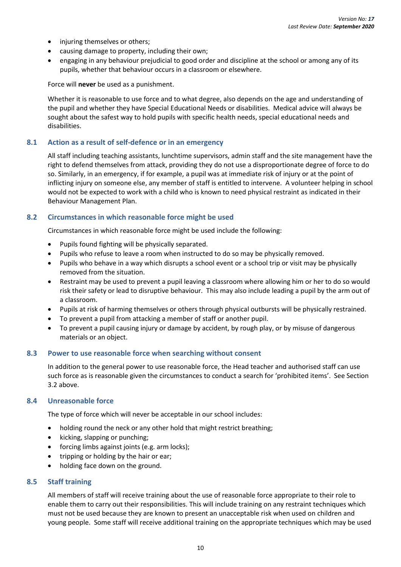- injuring themselves or others;
- causing damage to property, including their own;
- engaging in any behaviour prejudicial to good order and discipline at the school or among any of its pupils, whether that behaviour occurs in a classroom or elsewhere.

Force will **never** be used as a punishment.

Whether it is reasonable to use force and to what degree, also depends on the age and understanding of the pupil and whether they have Special Educational Needs or disabilities. Medical advice will always be sought about the safest way to hold pupils with specific health needs, special educational needs and disabilities.

## <span id="page-17-0"></span>**8.1 Action as a result of self-defence or in an emergency**

All staff including teaching assistants, lunchtime supervisors, admin staff and the site management have the right to defend themselves from attack, providing they do not use a disproportionate degree of force to do so. Similarly, in an emergency, if for example, a pupil was at immediate risk of injury or at the point of inflicting injury on someone else, any member of staff is entitled to intervene. A volunteer helping in school would not be expected to work with a child who is known to need physical restraint as indicated in their Behaviour Management Plan.

## <span id="page-17-1"></span>**8.2 Circumstances in which reasonable force might be used**

Circumstances in which reasonable force might be used include the following:

- Pupils found fighting will be physically separated.
- Pupils who refuse to leave a room when instructed to do so may be physically removed.
- Pupils who behave in a way which disrupts a school event or a school trip or visit may be physically removed from the situation.
- Restraint may be used to prevent a pupil leaving a classroom where allowing him or her to do so would risk their safety or lead to disruptive behaviour. This may also include leading a pupil by the arm out of a classroom.
- Pupils at risk of harming themselves or others through physical outbursts will be physically restrained.
- To prevent a pupil from attacking a member of staff or another pupil.
- To prevent a pupil causing injury or damage by accident, by rough play, or by misuse of dangerous materials or an object.

#### <span id="page-17-2"></span>**8.3 Power to use reasonable force when searching without consent**

In addition to the general power to use reasonable force, the Head teacher and authorised staff can use such force as is reasonable given the circumstances to conduct a search for 'prohibited items'. See Section 3.2 above.

#### <span id="page-17-3"></span>**8.4 Unreasonable force**

The type of force which will never be acceptable in our school includes:

- holding round the neck or any other hold that might restrict breathing;
- kicking, slapping or punching;
- forcing limbs against joints (e.g. arm locks);
- tripping or holding by the hair or ear;
- holding face down on the ground.

## <span id="page-17-4"></span>**8.5 Staff training**

All members of staff will receive training about the use of reasonable force appropriate to their role to enable them to carry out their responsibilities. This will include training on any restraint techniques which must not be used because they are known to present an unacceptable risk when used on children and young people. Some staff will receive additional training on the appropriate techniques which may be used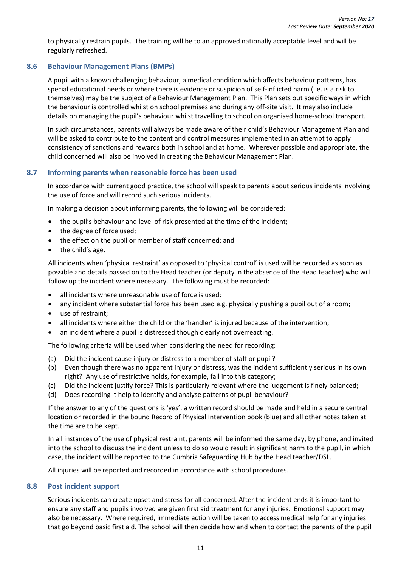to physically restrain pupils. The training will be to an approved nationally acceptable level and will be regularly refreshed.

## <span id="page-18-0"></span>**8.6 Behaviour Management Plans (BMPs)**

A pupil with a known challenging behaviour, a medical condition which affects behaviour patterns, has special educational needs or where there is evidence or suspicion of self-inflicted harm (i.e. is a risk to themselves) may be the subject of a Behaviour Management Plan. This Plan sets out specific ways in which the behaviour is controlled whilst on school premises and during any off-site visit. It may also include details on managing the pupil's behaviour whilst travelling to school on organised home-school transport.

In such circumstances, parents will always be made aware of their child's Behaviour Management Plan and will be asked to contribute to the content and control measures implemented in an attempt to apply consistency of sanctions and rewards both in school and at home. Wherever possible and appropriate, the child concerned will also be involved in creating the Behaviour Management Plan.

## <span id="page-18-1"></span>**8.7 Informing parents when reasonable force has been used**

In accordance with current good practice, the school will speak to parents about serious incidents involving the use of force and will record such serious incidents.

In making a decision about informing parents, the following will be considered:

- the pupil's behaviour and level of risk presented at the time of the incident;
- the degree of force used;
- the effect on the pupil or member of staff concerned; and
- the child's age.

All incidents when 'physical restraint' as opposed to 'physical control' is used will be recorded as soon as possible and details passed on to the Head teacher (or deputy in the absence of the Head teacher) who will follow up the incident where necessary. The following must be recorded:

- all incidents where unreasonable use of force is used:
- any incident where substantial force has been used e.g. physically pushing a pupil out of a room;
- use of restraint;
- all incidents where either the child or the 'handler' is injured because of the intervention;
- an incident where a pupil is distressed though clearly not overreacting.

The following criteria will be used when considering the need for recording:

- (a) Did the incident cause injury or distress to a member of staff or pupil?
- (b) Even though there was no apparent injury or distress, was the incident sufficiently serious in its own right? Any use of restrictive holds, for example, fall into this category;
- (c) Did the incident justify force? This is particularly relevant where the judgement is finely balanced;
- (d) Does recording it help to identify and analyse patterns of pupil behaviour?

If the answer to any of the questions is 'yes', a written record should be made and held in a secure central location or recorded in the bound Record of Physical Intervention book (blue) and all other notes taken at the time are to be kept.

In all instances of the use of physical restraint, parents will be informed the same day, by phone, and invited into the school to discuss the incident unless to do so would result in significant harm to the pupil, in which case, the incident will be reported to the Cumbria Safeguarding Hub by the Head teacher/DSL.

All injuries will be reported and recorded in accordance with school procedures.

## <span id="page-18-2"></span>**8.8 Post incident support**

Serious incidents can create upset and stress for all concerned. After the incident ends it is important to ensure any staff and pupils involved are given first aid treatment for any injuries. Emotional support may also be necessary. Where required, immediate action will be taken to access medical help for any injuries that go beyond basic first aid. The school will then decide how and when to contact the parents of the pupil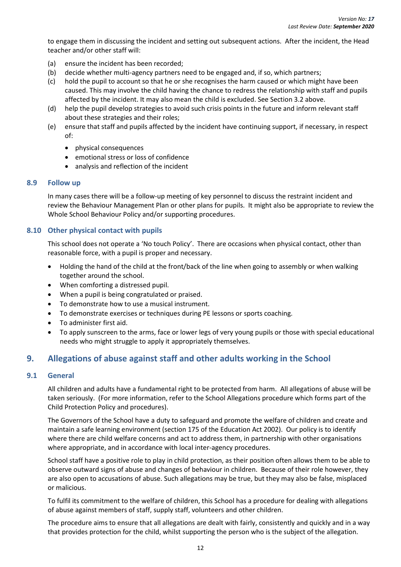to engage them in discussing the incident and setting out subsequent actions. After the incident, the Head teacher and/or other staff will:

- (a) ensure the incident has been recorded;
- (b) decide whether multi-agency partners need to be engaged and, if so, which partners;
- (c) hold the pupil to account so that he or she recognises the harm caused or which might have been caused. This may involve the child having the chance to redress the relationship with staff and pupils affected by the incident. It may also mean the child is excluded. See Section 3.2 above.
- (d) help the pupil develop strategies to avoid such crisis points in the future and inform relevant staff about these strategies and their roles;
- (e) ensure that staff and pupils affected by the incident have continuing support, if necessary, in respect of:
	- physical consequences
	- emotional stress or loss of confidence
	- analysis and reflection of the incident

## <span id="page-19-0"></span>**8.9 Follow up**

In many cases there will be a follow-up meeting of key personnel to discuss the restraint incident and review the Behaviour Management Plan or other plans for pupils. It might also be appropriate to review the Whole School Behaviour Policy and/or supporting procedures.

## <span id="page-19-1"></span>**8.10 Other physical contact with pupils**

This school does not operate a 'No touch Policy'. There are occasions when physical contact, other than reasonable force, with a pupil is proper and necessary.

- Holding the hand of the child at the front/back of the line when going to assembly or when walking together around the school.
- When comforting a distressed pupil.
- When a pupil is being congratulated or praised.
- To demonstrate how to use a musical instrument.
- To demonstrate exercises or techniques during PE lessons or sports coaching.
- To administer first aid.
- To apply sunscreen to the arms, face or lower legs of very young pupils or those with special educational needs who might struggle to apply it appropriately themselves.

## <span id="page-19-2"></span>**9. Allegations of abuse against staff and other adults working in the School**

## <span id="page-19-3"></span>**9.1 General**

All children and adults have a fundamental right to be protected from harm. All allegations of abuse will be taken seriously. (For more information, refer to the School Allegations procedure which forms part of the Child Protection Policy and procedures).

The Governors of the School have a duty to safeguard and promote the welfare of children and create and maintain a safe learning environment (section 175 of the Education Act 2002). Our policy is to identify where there are child welfare concerns and act to address them, in partnership with other organisations where appropriate, and in accordance with local inter-agency procedures.

School staff have a positive role to play in child protection, as their position often allows them to be able to observe outward signs of abuse and changes of behaviour in children. Because of their role however, they are also open to accusations of abuse. Such allegations may be true, but they may also be false, misplaced or malicious.

To fulfil its commitment to the welfare of children, this School has a procedure for dealing with allegations of abuse against members of staff, supply staff, volunteers and other children.

The procedure aims to ensure that all allegations are dealt with fairly, consistently and quickly and in a way that provides protection for the child, whilst supporting the person who is the subject of the allegation.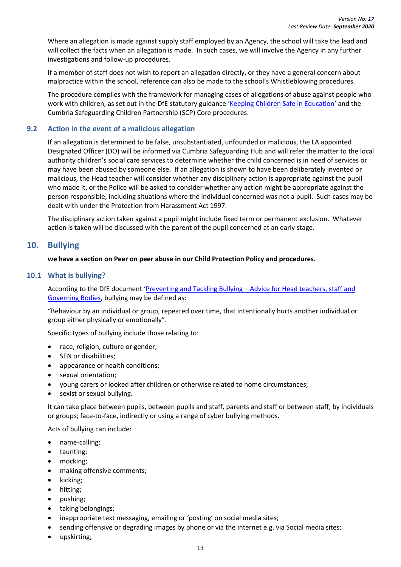Where an allegation is made against supply staff employed by an Agency, the school will take the lead and will collect the facts when an allegation is made. In such cases, we will involve the Agency in any further investigations and follow-up procedures.

If a member of staff does not wish to report an allegation directly, or they have a general concern about malpractice within the school, reference can also be made to the school's Whistleblowing procedures.

The procedure complies with the framework for managing cases of allegations of abuse against people who work with children, as set out in the DfE statutory guidance '[Keeping Children Safe in Education](https://www.gov.uk/government/publications/keeping-children-safe-in-education--2)' and the Cumbria Safeguarding Children Partnership (SCP) Core procedures.

## <span id="page-20-0"></span>**9.2 Action in the event of a malicious allegation**

If an allegation is determined to be false, unsubstantiated, unfounded or malicious, the LA appointed Designated Officer (DO) will be informed via Cumbria Safeguarding Hub and will refer the matter to the local authority children's social care services to determine whether the child concerned is in need of services or may have been abused by someone else. If an allegation is shown to have been deliberately invented or malicious, the Head teacher will consider whether any disciplinary action is appropriate against the pupil who made it, or the Police will be asked to consider whether any action might be appropriate against the person responsible, including situations where the individual concerned was not a pupil. Such cases may be dealt with under the Protection from Harassment Act 1997.

The disciplinary action taken against a pupil might include fixed term or permanent exclusion. Whatever action is taken will be discussed with the parent of the pupil concerned at an early stage.

## <span id="page-20-1"></span>**10. Bullying**

## **we have a section on Peer on peer abuse in our Child Protection Policy and procedures.**

## <span id="page-20-2"></span>**10.1 What is bullying?**

According to the DfE document 'Preventing and Tackling Bullying – [Advice for Head teachers, staff and](https://www.gov.uk/government/publications/preventing-and-tackling-bullying)  [Governing Bodies,](https://www.gov.uk/government/publications/preventing-and-tackling-bullying) bullying may be defined as:

"Behaviour by an individual or group, repeated over time, that intentionally hurts another individual or group either physically or emotionally".

Specific types of bullying include those relating to:

- race, religion, culture or gender;
- SEN or disabilities;
- appearance or health conditions;
- sexual orientation;
- young carers or looked after children or otherwise related to home circumstances;
- sexist or sexual bullying.

It can take place between pupils, between pupils and staff, parents and staff or between staff; by individuals or groups; face-to-face, indirectly or using a range of cyber bullying methods.

Acts of bullying can include:

- name-calling;
- taunting;
- mocking;
- making offensive comments;
- kicking;
- hitting;
- pushing;
- taking belongings;
- inappropriate text messaging, emailing or 'posting' on social media sites;
- sending offensive or degrading images by phone or via the internet e.g. via Social media sites;
- upskirting;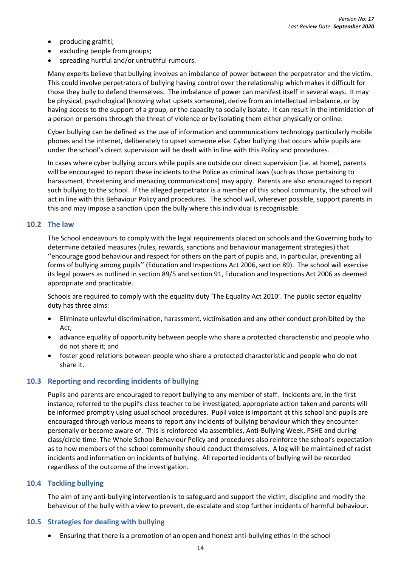- producing graffiti;
- excluding people from groups;
- spreading hurtful and/or untruthful rumours.

Many experts believe that bullying involves an imbalance of power between the perpetrator and the victim. This could involve perpetrators of bullying having control over the relationship which makes it difficult for those they bully to defend themselves. The imbalance of power can manifest itself in several ways. It may be physical, psychological (knowing what upsets someone), derive from an intellectual imbalance, or by having access to the support of a group, or the capacity to socially isolate. It can result in the intimidation of a person or persons through the threat of violence or by isolating them either physically or online.

Cyber bullying can be defined as the use of information and communications technology particularly mobile phones and the internet, deliberately to upset someone else. Cyber bullying that occurs while pupils are under the school's direct supervision will be dealt with in line with this Policy and procedures.

In cases where cyber bullying occurs while pupils are outside our direct supervision (i.e. at home), parents will be encouraged to report these incidents to the Police as criminal laws (such as those pertaining to harassment, threatening and menacing communications) may apply. Parents are also encouraged to report such bullying to the school. If the alleged perpetrator is a member of this school community, the school will act in line with this Behaviour Policy and procedures. The school will, wherever possible, support parents in this and may impose a sanction upon the bully where this individual is recognisable.

## <span id="page-21-0"></span>**10.2 The law**

The School endeavours to comply with the legal requirements placed on schools and the Governing body to determine detailed measures (rules, rewards, sanctions and behaviour management strategies) that ''encourage good behaviour and respect for others on the part of pupils and, in particular, preventing all forms of bullying among pupils'' (Education and Inspections Act 2006, section 89). The school will exercise its legal powers as outlined in section 89/5 and section 91, Education and Inspections Act 2006 as deemed appropriate and practicable.

Schools are required to comply with the equality duty 'The Equality Act 2010'. The public sector equality duty has three aims:

- Eliminate unlawful discrimination, harassment, victimisation and any other conduct prohibited by the Act;
- advance equality of opportunity between people who share a protected characteristic and people who do not share it; and
- foster good relations between people who share a protected characteristic and people who do not share it.

## <span id="page-21-1"></span>**10.3 Reporting and recording incidents of bullying**

Pupils and parents are encouraged to report bullying to any member of staff. Incidents are, in the first instance, referred to the pupil's class teacher to be investigated, appropriate action taken and parents will be informed promptly using usual school procedures. Pupil voice is important at this school and pupils are encouraged through various means to report any incidents of bullying behaviour which they encounter personally or become aware of. This is reinforced via assemblies, Anti-Bullying Week, PSHE and during class/circle time. The Whole School Behaviour Policy and procedures also reinforce the school's expectation as to how members of the school community should conduct themselves. A log will be maintained of racist incidents and information on incidents of bullying. All reported incidents of bullying will be recorded regardless of the outcome of the investigation.

#### **10.4 Tackling bullying**

The aim of any anti-bullying intervention is to safeguard and support the victim, discipline and modify the behaviour of the bully with a view to prevent, de-escalate and stop further incidents of harmful behaviour.

#### **10.5 Strategies for dealing with bullying**

• Ensuring that there is a promotion of an open and honest anti-bullying ethos in the school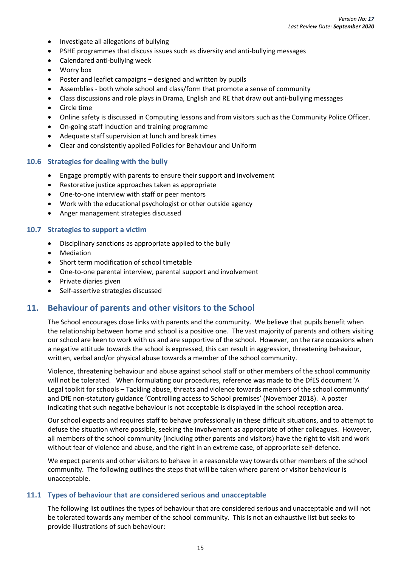- Investigate all allegations of bullying
- PSHE programmes that discuss issues such as diversity and anti-bullying messages
- Calendared anti-bullying week
- Worry box
- Poster and leaflet campaigns designed and written by pupils
- Assemblies both whole school and class/form that promote a sense of community
- Class discussions and role plays in Drama, English and RE that draw out anti-bullying messages
- Circle time
- Online safety is discussed in Computing lessons and from visitors such as the Community Police Officer.
- On-going staff induction and training programme
- Adequate staff supervision at lunch and break times
- Clear and consistently applied Policies for Behaviour and Uniform

#### **10.6 Strategies for dealing with the bully**

- Engage promptly with parents to ensure their support and involvement
- Restorative justice approaches taken as appropriate
- One-to-one interview with staff or peer mentors
- Work with the educational psychologist or other outside agency
- Anger management strategies discussed

## **10.7 Strategies to support a victim**

- Disciplinary sanctions as appropriate applied to the bully
- Mediation
- Short term modification of school timetable
- One-to-one parental interview, parental support and involvement
- Private diaries given
- Self-assertive strategies discussed

## <span id="page-22-0"></span>**11. Behaviour of parents and other visitors to the School**

The School encourages close links with parents and the community. We believe that pupils benefit when the relationship between home and school is a positive one. The vast majority of parents and others visiting our school are keen to work with us and are supportive of the school. However, on the rare occasions when a negative attitude towards the school is expressed, this can result in aggression, threatening behaviour, written, verbal and/or physical abuse towards a member of the school community.

Violence, threatening behaviour and abuse against school staff or other members of the school community will not be tolerated. When formulating our procedures, reference was made to the DfES document 'A Legal toolkit for schools – Tackling abuse, threats and violence towards members of the school community' and DfE non-statutory guidance 'Controlling access to School premises' (November 2018). A poster indicating that such negative behaviour is not acceptable is displayed in the school reception area.

Our school expects and requires staff to behave professionally in these difficult situations, and to attempt to defuse the situation where possible, seeking the involvement as appropriate of other colleagues. However, all members of the school community (including other parents and visitors) have the right to visit and work without fear of violence and abuse, and the right in an extreme case, of appropriate self-defence.

We expect parents and other visitors to behave in a reasonable way towards other members of the school community. The following outlines the steps that will be taken where parent or visitor behaviour is unacceptable.

#### <span id="page-22-1"></span>**11.1 Types of behaviour that are considered serious and unacceptable**

The following list outlines the types of behaviour that are considered serious and unacceptable and will not be tolerated towards any member of the school community. This is not an exhaustive list but seeks to provide illustrations of such behaviour: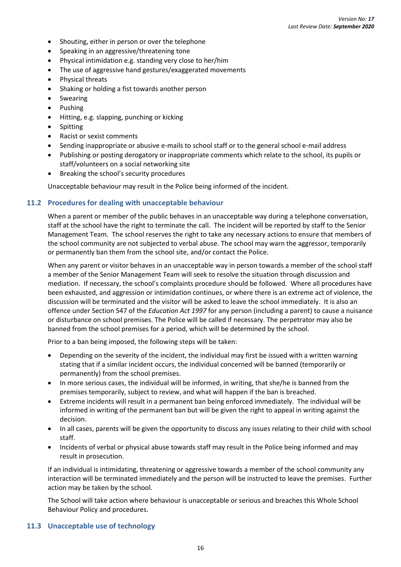- Shouting, either in person or over the telephone
- Speaking in an aggressive/threatening tone
- Physical intimidation e.g. standing very close to her/him
- The use of aggressive hand gestures/exaggerated movements
- Physical threats
- Shaking or holding a fist towards another person
- **Swearing**
- Pushing
- Hitting, e.g. slapping, punching or kicking
- Spitting
- Racist or sexist comments
- Sending inappropriate or abusive e-mails to school staff or to the general school e-mail address
- Publishing or posting derogatory or inappropriate comments which relate to the school, its pupils or staff/volunteers on a social networking site
- Breaking the school's security procedures

Unacceptable behaviour may result in the Police being informed of the incident.

#### <span id="page-23-0"></span>**11.2 Procedures for dealing with unacceptable behaviour**

When a parent or member of the public behaves in an unacceptable way during a telephone conversation, staff at the school have the right to terminate the call. The incident will be reported by staff to the Senior Management Team. The school reserves the right to take any necessary actions to ensure that members of the school community are not subjected to verbal abuse. The school may warn the aggressor, temporarily or permanently ban them from the school site, and/or contact the Police.

When any parent or visitor behaves in an unacceptable way in person towards a member of the school staff a member of the Senior Management Team will seek to resolve the situation through discussion and mediation. If necessary, the school's complaints procedure should be followed. Where all procedures have been exhausted, and aggression or intimidation continues, or where there is an extreme act of violence, the discussion will be terminated and the visitor will be asked to leave the school immediately. It is also an offence under Section 547 of the *Education Act 1997* for any person (including a parent) to cause a nuisance or disturbance on school premises. The Police will be called if necessary. The perpetrator may also be banned from the school premises for a period, which will be determined by the school.

Prior to a ban being imposed, the following steps will be taken:

- Depending on the severity of the incident, the individual may first be issued with a written warning stating that if a similar incident occurs, the individual concerned will be banned (temporarily or permanently) from the school premises.
- In more serious cases, the individual will be informed, in writing, that she/he is banned from the premises temporarily, subject to review, and what will happen if the ban is breached.
- Extreme incidents will result in a permanent ban being enforced immediately. The individual will be informed in writing of the permanent ban but will be given the right to appeal in writing against the decision.
- In all cases, parents will be given the opportunity to discuss any issues relating to their child with school staff.
- Incidents of verbal or physical abuse towards staff may result in the Police being informed and may result in prosecution.

If an individual is intimidating, threatening or aggressive towards a member of the school community any interaction will be terminated immediately and the person will be instructed to leave the premises. Further action may be taken by the school.

The School will take action where behaviour is unacceptable or serious and breaches this Whole School Behaviour Policy and procedures.

## <span id="page-23-1"></span>**11.3 Unacceptable use of technology**